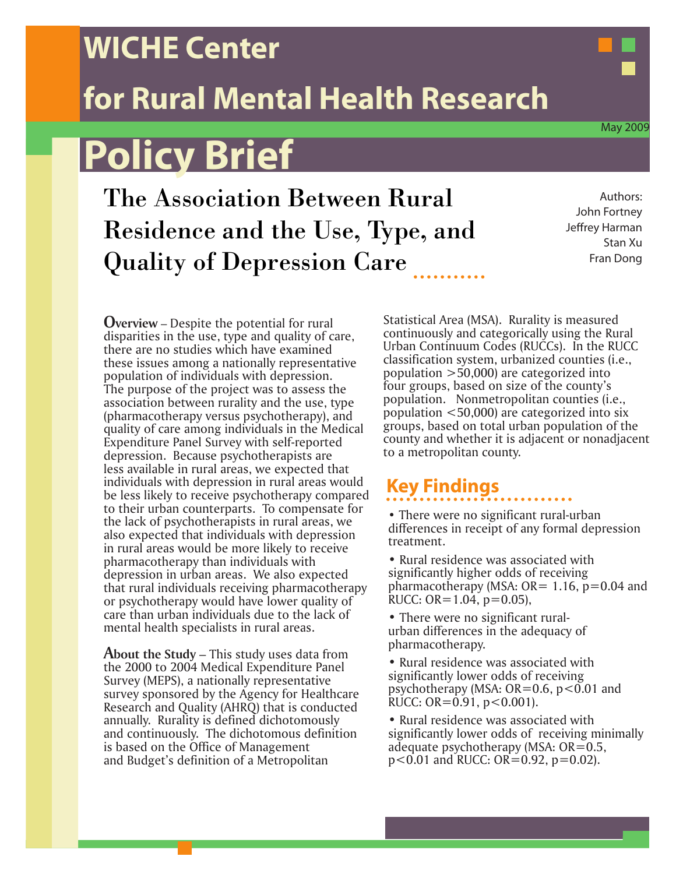### **WICHE Center**

## **for Rural Mental Health Research**

# **Policy Brief**

The Association Between Rural Residence and the Use, Type, and Quality of Depression Care

Authors: John Fortney Jeffrey Harman Stan Xu Fran Dong

**Overview** – Despite the potential for rural disparities in the use, type and quality of care, there are no studies which have examined these issues among a nationally representative population of individuals with depression. The purpose of the project was to assess the association between rurality and the use, type (pharmacotherapy versus psychotherapy), and quality of care among individuals in the Medical Expenditure Panel Survey with self-reported depression. Because psychotherapists are less available in rural areas, we expected that individuals with depression in rural areas would be less likely to receive psychotherapy compared to their urban counterparts. To compensate for the lack of psychotherapists in rural areas, we also expected that individuals with depression in rural areas would be more likely to receive pharmacotherapy than individuals with depression in urban areas. We also expected that rural individuals receiving pharmacotherapy or psychotherapy would have lower quality of care than urban individuals due to the lack of mental health specialists in rural areas.

**About the Study** – This study uses data from the 2000 to 2004 Medical Expenditure Panel Survey (MEPS), a nationally representative survey sponsored by the Agency for Healthcare Research and Quality (AHRQ) that is conducted annually. Rurality is defined dichotomously and continuously. The dichotomous definition is based on the Office of Management and Budget's definition of a Metropolitan

Statistical Area (MSA). Rurality is measured continuously and categorically using the Rural Urban Continuum Codes (RUCCs). In the RUCC classification system, urbanized counties (i.e., population >50,000) are categorized into four groups, based on size of the county's population. Nonmetropolitan counties (i.e., population <50,000) are categorized into six groups, based on total urban population of the county and whether it is adjacent or nonadjacent to a metropolitan county.

#### **Key Findings**

• There were no significant rural-urban differences in receipt of any formal depression treatment.

• Rural residence was associated with significantly higher odds of receiving pharmacotherapy (MSA:  $OR = 1.16$ ,  $p=0.04$  and RUCC: OR= $1.04$ , p= $0.05$ ),

- There were no significant ruralurban differences in the adequacy of pharmacotherapy.
- Rural residence was associated with significantly lower odds of receiving psychotherapy (MSA:  $OR=0.6$ ,  $p<0.01$  and RUCC: OR=0.91,  $p < 0.001$ ).
- Rural residence was associated with significantly lower odds of receiving minimally adequate psychotherapy (MSA:  $OR = 0.5$ ,  $p<0.01$  and RUCC: OR=0.92,  $p=0.02$ ).

May 2009